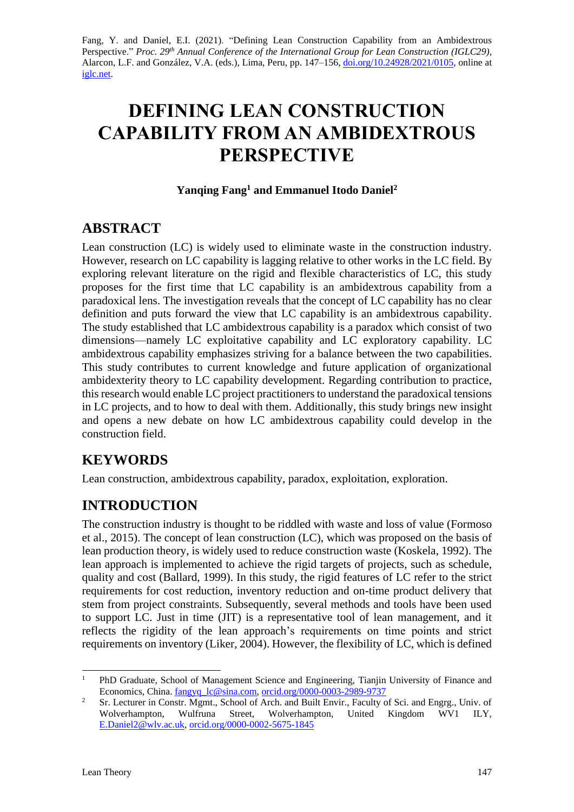Fang, Y. and Daniel, E.I. (2021). "Defining Lean Construction Capability from an Ambidextrous Perspective." *Proc. 29<sup>th</sup> Annual Conference of the International Group for Lean Construction (IGLC29),* Alarcon, L.F. and González, V.A. (eds.)*,* Lima, Peru, pp. 147–156, [doi.org/10.24928/2021/0105,](https://doi.org/10.24928/2021/0105) online at [iglc.net.](http://iglc.net/)

# **DEFINING LEAN CONSTRUCTION CAPABILITY FROM AN AMBIDEXTROUS PERSPECTIVE**

#### **Yanqing Fang<sup>1</sup> and Emmanuel Itodo Daniel<sup>2</sup>**

# **ABSTRACT**

Lean construction (LC) is widely used to eliminate waste in the construction industry. However, research on LC capability is lagging relative to other works in the LC field. By exploring relevant literature on the rigid and flexible characteristics of LC, this study proposes for the first time that LC capability is an ambidextrous capability from a paradoxical lens. The investigation reveals that the concept of LC capability has no clear definition and puts forward the view that LC capability is an ambidextrous capability. The study established that LC ambidextrous capability is a paradox which consist of two dimensions—namely LC exploitative capability and LC exploratory capability. LC ambidextrous capability emphasizes striving for a balance between the two capabilities. This study contributes to current knowledge and future application of organizational ambidexterity theory to LC capability development. Regarding contribution to practice, this research would enable LC project practitioners to understand the paradoxical tensions in LC projects, and to how to deal with them. Additionally, this study brings new insight and opens a new debate on how LC ambidextrous capability could develop in the construction field.

# **KEYWORDS**

Lean construction, ambidextrous capability, paradox, exploitation, exploration.

# **INTRODUCTION**

The construction industry is thought to be riddled with waste and loss of value (Formoso et al., 2015). The concept of lean construction (LC), which was proposed on the basis of lean production theory, is widely used to reduce construction waste (Koskela, 1992). The lean approach is implemented to achieve the rigid targets of projects, such as schedule, quality and cost (Ballard, 1999). In this study, the rigid features of LC refer to the strict requirements for cost reduction, inventory reduction and on-time product delivery that stem from project constraints. Subsequently, several methods and tools have been used to support LC. Just in time (JIT) is a representative tool of lean management, and it reflects the rigidity of the lean approach's requirements on time points and strict requirements on inventory (Liker, 2004). However, the flexibility of LC, which is defined

<sup>&</sup>lt;sup>1</sup> PhD Graduate, School of Management Science and Engineering, Tianjin University of Finance and Economics, China. [fangyq\\_lc@sina.com,](mailto:fangyq_lc@sina.com) [orcid.org/0000-0003-2989-9737](https://orcid.org/0000-0003-2989-9737)

<sup>&</sup>lt;sup>2</sup> Sr. Lecturer in Constr. Mgmt., School of Arch. and Built Envir., Faculty of Sci. and Engrg., Univ. of Wolverhampton, Wulfruna Street, Wolverhampton, United Kingdom WV1 ILY, [E.Daniel2@wlv.ac.uk,](mailto:E.Daniel2@wlv.ac.uk) [orcid.org/0000-0002-5675-1845](https://orcid.org/0000-0002-5675-1845)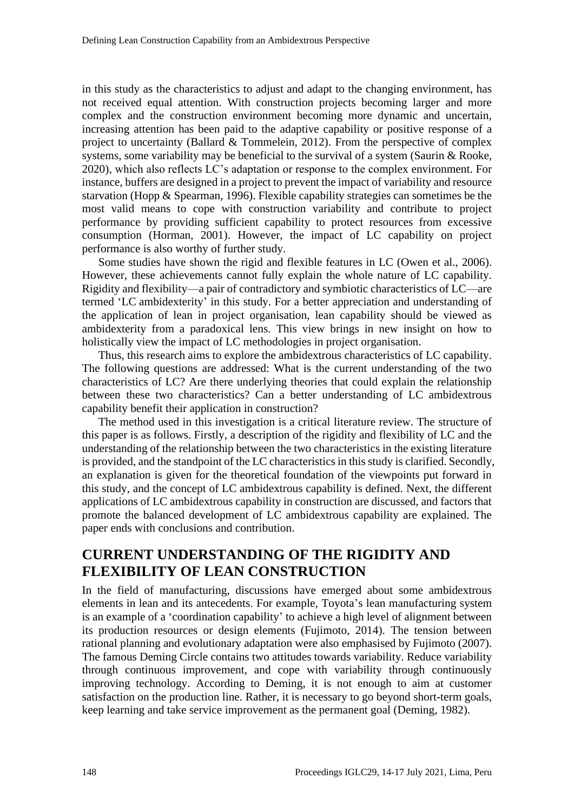in this study as the characteristics to adjust and adapt to the changing environment, has not received equal attention. With construction projects becoming larger and more complex and the construction environment becoming more dynamic and uncertain, increasing attention has been paid to the adaptive capability or positive response of a project to uncertainty (Ballard & Tommelein, 2012). From the perspective of complex systems, some variability may be beneficial to the survival of a system (Saurin & Rooke, 2020), which also reflects LC's adaptation or response to the complex environment. For instance, buffers are designed in a project to prevent the impact of variability and resource starvation (Hopp & Spearman, 1996). Flexible capability strategies can sometimes be the most valid means to cope with construction variability and contribute to project performance by providing sufficient capability to protect resources from excessive consumption (Horman, 2001). However, the impact of LC capability on project performance is also worthy of further study.

Some studies have shown the rigid and flexible features in LC (Owen et al., 2006). However, these achievements cannot fully explain the whole nature of LC capability. Rigidity and flexibility—a pair of contradictory and symbiotic characteristics of LC—are termed 'LC ambidexterity' in this study. For a better appreciation and understanding of the application of lean in project organisation, lean capability should be viewed as ambidexterity from a paradoxical lens. This view brings in new insight on how to holistically view the impact of LC methodologies in project organisation.

Thus, this research aims to explore the ambidextrous characteristics of LC capability. The following questions are addressed: What is the current understanding of the two characteristics of LC? Are there underlying theories that could explain the relationship between these two characteristics? Can a better understanding of LC ambidextrous capability benefit their application in construction?

The method used in this investigation is a critical literature review. The structure of this paper is as follows. Firstly, a description of the rigidity and flexibility of LC and the understanding of the relationship between the two characteristics in the existing literature is provided, and the standpoint of the LC characteristics in this study is clarified. Secondly, an explanation is given for the theoretical foundation of the viewpoints put forward in this study, and the concept of LC ambidextrous capability is defined. Next, the different applications of LC ambidextrous capability in construction are discussed, and factors that promote the balanced development of LC ambidextrous capability are explained. The paper ends with conclusions and contribution.

### **CURRENT UNDERSTANDING OF THE RIGIDITY AND FLEXIBILITY OF LEAN CONSTRUCTION**

In the field of manufacturing, discussions have emerged about some ambidextrous elements in lean and its antecedents. For example, Toyota's lean manufacturing system is an example of a 'coordination capability' to achieve a high level of alignment between its production resources or design elements (Fujimoto, 2014). The tension between rational planning and evolutionary adaptation were also emphasised by Fujimoto (2007). The famous Deming Circle contains two attitudes towards variability. Reduce variability through continuous improvement, and cope with variability through continuously improving technology. According to Deming, it is not enough to aim at customer satisfaction on the production line. Rather, it is necessary to go beyond short-term goals, keep learning and take service improvement as the permanent goal (Deming, 1982).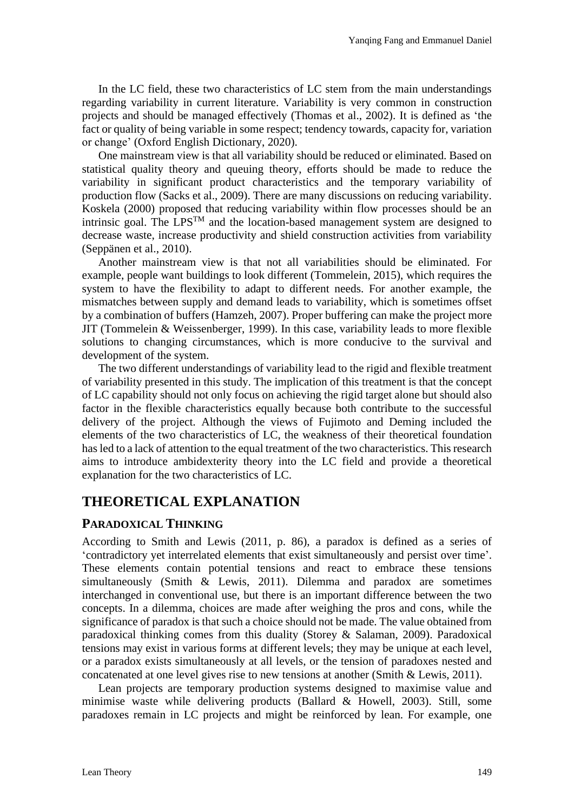In the LC field, these two characteristics of LC stem from the main understandings regarding variability in current literature. Variability is very common in construction projects and should be managed effectively (Thomas et al., 2002). It is defined as 'the fact or quality of being variable in some respect; tendency towards, capacity for, variation or change' (Oxford English Dictionary, 2020).

One mainstream view is that all variability should be reduced or eliminated. Based on statistical quality theory and queuing theory, efforts should be made to reduce the variability in significant product characteristics and the temporary variability of production flow (Sacks et al., 2009). There are many discussions on reducing variability. Koskela (2000) proposed that reducing variability within flow processes should be an intrinsic goal. The  $LPS^{TM}$  and the location-based management system are designed to decrease waste, increase productivity and shield construction activities from variability (Seppänen et al., 2010).

Another mainstream view is that not all variabilities should be eliminated. For example, people want buildings to look different (Tommelein, 2015), which requires the system to have the flexibility to adapt to different needs. For another example, the mismatches between supply and demand leads to variability, which is sometimes offset by a combination of buffers (Hamzeh, 2007). Proper buffering can make the project more JIT (Tommelein & Weissenberger, 1999). In this case, variability leads to more flexible solutions to changing circumstances, which is more conducive to the survival and development of the system.

The two different understandings of variability lead to the rigid and flexible treatment of variability presented in this study. The implication of this treatment is that the concept of LC capability should not only focus on achieving the rigid target alone but should also factor in the flexible characteristics equally because both contribute to the successful delivery of the project. Although the views of Fujimoto and Deming included the elements of the two characteristics of LC, the weakness of their theoretical foundation has led to a lack of attention to the equal treatment of the two characteristics. This research aims to introduce ambidexterity theory into the LC field and provide a theoretical explanation for the two characteristics of LC.

# **THEORETICAL EXPLANATION**

#### **PARADOXICAL THINKING**

According to Smith and Lewis (2011, p. 86), a paradox is defined as a series of 'contradictory yet interrelated elements that exist simultaneously and persist over time'. These elements contain potential tensions and react to embrace these tensions simultaneously (Smith & Lewis, 2011). Dilemma and paradox are sometimes interchanged in conventional use, but there is an important difference between the two concepts. In a dilemma, choices are made after weighing the pros and cons, while the significance of paradox is that such a choice should not be made. The value obtained from paradoxical thinking comes from this duality (Storey & Salaman, 2009). Paradoxical tensions may exist in various forms at different levels; they may be unique at each level, or a paradox exists simultaneously at all levels, or the tension of paradoxes nested and concatenated at one level gives rise to new tensions at another (Smith & Lewis, 2011).

Lean projects are temporary production systems designed to maximise value and minimise waste while delivering products (Ballard & Howell, 2003). Still, some paradoxes remain in LC projects and might be reinforced by lean. For example, one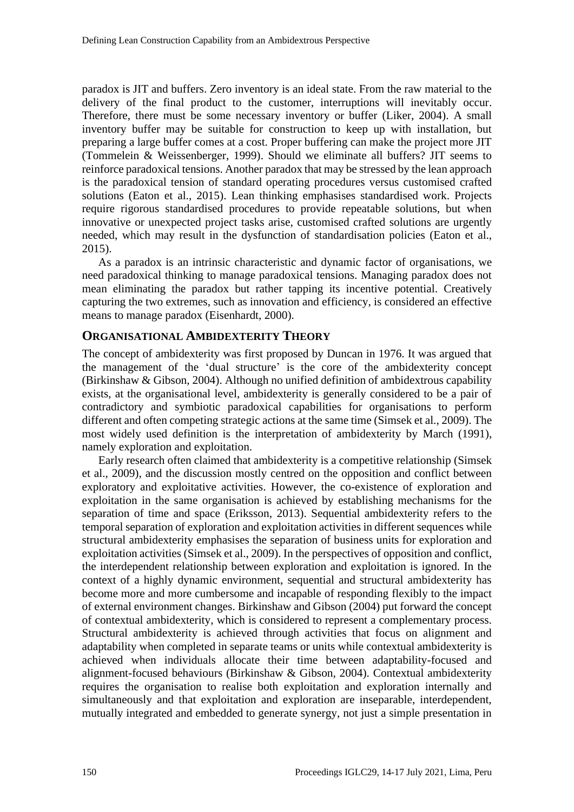paradox is JIT and buffers. Zero inventory is an ideal state. From the raw material to the delivery of the final product to the customer, interruptions will inevitably occur. Therefore, there must be some necessary inventory or buffer (Liker, 2004). A small inventory buffer may be suitable for construction to keep up with installation, but preparing a large buffer comes at a cost. Proper buffering can make the project more JIT (Tommelein & Weissenberger, 1999). Should we eliminate all buffers? JIT seems to reinforce paradoxical tensions. Another paradox that may be stressed by the lean approach is the paradoxical tension of standard operating procedures versus customised crafted solutions (Eaton et al., 2015). Lean thinking emphasises standardised work. Projects require rigorous standardised procedures to provide repeatable solutions, but when innovative or unexpected project tasks arise, customised crafted solutions are urgently needed, which may result in the dysfunction of standardisation policies (Eaton et al., 2015).

As a paradox is an intrinsic characteristic and dynamic factor of organisations, we need paradoxical thinking to manage paradoxical tensions. Managing paradox does not mean eliminating the paradox but rather tapping its incentive potential. Creatively capturing the two extremes, such as innovation and efficiency, is considered an effective means to manage paradox (Eisenhardt, 2000).

#### **ORGANISATIONAL AMBIDEXTERITY THEORY**

The concept of ambidexterity was first proposed by Duncan in 1976. It was argued that the management of the 'dual structure' is the core of the ambidexterity concept (Birkinshaw & Gibson, 2004). Although no unified definition of ambidextrous capability exists, at the organisational level, ambidexterity is generally considered to be a pair of contradictory and symbiotic paradoxical capabilities for organisations to perform different and often competing strategic actions at the same time (Simsek et al., 2009). The most widely used definition is the interpretation of ambidexterity by March (1991), namely exploration and exploitation.

Early research often claimed that ambidexterity is a competitive relationship (Simsek et al., 2009), and the discussion mostly centred on the opposition and conflict between exploratory and exploitative activities. However, the co-existence of exploration and exploitation in the same organisation is achieved by establishing mechanisms for the separation of time and space (Eriksson, 2013). Sequential ambidexterity refers to the temporal separation of exploration and exploitation activities in different sequences while structural ambidexterity emphasises the separation of business units for exploration and exploitation activities (Simsek et al., 2009). In the perspectives of opposition and conflict, the interdependent relationship between exploration and exploitation is ignored. In the context of a highly dynamic environment, sequential and structural ambidexterity has become more and more cumbersome and incapable of responding flexibly to the impact of external environment changes. Birkinshaw and Gibson (2004) put forward the concept of contextual ambidexterity, which is considered to represent a complementary process. Structural ambidexterity is achieved through activities that focus on alignment and adaptability when completed in separate teams or units while contextual ambidexterity is achieved when individuals allocate their time between adaptability-focused and alignment-focused behaviours (Birkinshaw & Gibson, 2004). Contextual ambidexterity requires the organisation to realise both exploitation and exploration internally and simultaneously and that exploitation and exploration are inseparable, interdependent, mutually integrated and embedded to generate synergy, not just a simple presentation in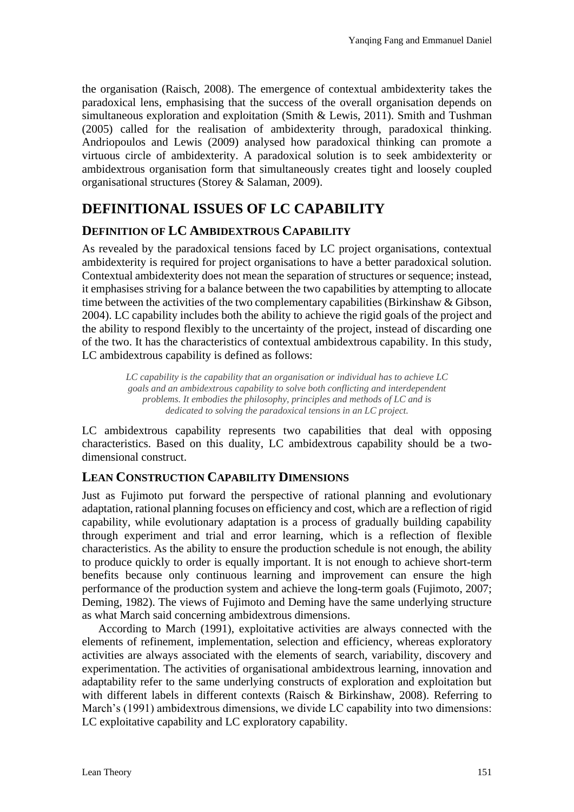the organisation (Raisch, 2008). The emergence of contextual ambidexterity takes the paradoxical lens, emphasising that the success of the overall organisation depends on simultaneous exploration and exploitation (Smith & Lewis, 2011). Smith and Tushman (2005) called for the realisation of ambidexterity through, paradoxical thinking. Andriopoulos and Lewis (2009) analysed how paradoxical thinking can promote a virtuous circle of ambidexterity. A paradoxical solution is to seek ambidexterity or ambidextrous organisation form that simultaneously creates tight and loosely coupled organisational structures (Storey & Salaman, 2009).

# **DEFINITIONAL ISSUES OF LC CAPABILITY**

#### **DEFINITION OF LC AMBIDEXTROUS CAPABILITY**

As revealed by the paradoxical tensions faced by LC project organisations, contextual ambidexterity is required for project organisations to have a better paradoxical solution. Contextual ambidexterity does not mean the separation of structures or sequence; instead, it emphasises striving for a balance between the two capabilities by attempting to allocate time between the activities of the two complementary capabilities (Birkinshaw & Gibson, 2004). LC capability includes both the ability to achieve the rigid goals of the project and the ability to respond flexibly to the uncertainty of the project, instead of discarding one of the two. It has the characteristics of contextual ambidextrous capability. In this study, LC ambidextrous capability is defined as follows:

> *LC capability is the capability that an organisation or individual has to achieve LC goals and an ambidextrous capability to solve both conflicting and interdependent problems. It embodies the philosophy, principles and methods of LC and is dedicated to solving the paradoxical tensions in an LC project.*

LC ambidextrous capability represents two capabilities that deal with opposing characteristics. Based on this duality, LC ambidextrous capability should be a twodimensional construct.

#### **LEAN CONSTRUCTION CAPABILITY DIMENSIONS**

Just as Fujimoto put forward the perspective of rational planning and evolutionary adaptation, rational planning focuses on efficiency and cost, which are a reflection of rigid capability, while evolutionary adaptation is a process of gradually building capability through experiment and trial and error learning, which is a reflection of flexible characteristics. As the ability to ensure the production schedule is not enough, the ability to produce quickly to order is equally important. It is not enough to achieve short-term benefits because only continuous learning and improvement can ensure the high performance of the production system and achieve the long-term goals (Fujimoto, 2007; Deming, 1982). The views of Fujimoto and Deming have the same underlying structure as what March said concerning ambidextrous dimensions.

According to March (1991), exploitative activities are always connected with the elements of refinement, implementation, selection and efficiency, whereas exploratory activities are always associated with the elements of search, variability, discovery and experimentation. The activities of organisational ambidextrous learning, innovation and adaptability refer to the same underlying constructs of exploration and exploitation but with different labels in different contexts (Raisch & Birkinshaw, 2008). Referring to March's (1991) ambidextrous dimensions, we divide LC capability into two dimensions: LC exploitative capability and LC exploratory capability.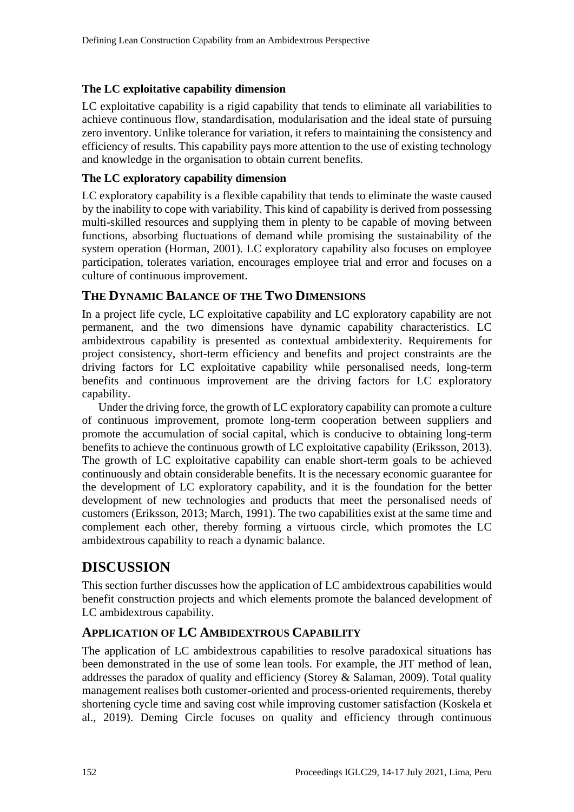#### **The LC exploitative capability dimension**

LC exploitative capability is a rigid capability that tends to eliminate all variabilities to achieve continuous flow, standardisation, modularisation and the ideal state of pursuing zero inventory. Unlike tolerance for variation, it refers to maintaining the consistency and efficiency of results. This capability pays more attention to the use of existing technology and knowledge in the organisation to obtain current benefits.

#### **The LC exploratory capability dimension**

LC exploratory capability is a flexible capability that tends to eliminate the waste caused by the inability to cope with variability. This kind of capability is derived from possessing multi-skilled resources and supplying them in plenty to be capable of moving between functions, absorbing fluctuations of demand while promising the sustainability of the system operation (Horman, 2001). LC exploratory capability also focuses on employee participation, tolerates variation, encourages employee trial and error and focuses on a culture of continuous improvement.

#### **THE DYNAMIC BALANCE OF THE TWO DIMENSIONS**

In a project life cycle, LC exploitative capability and LC exploratory capability are not permanent, and the two dimensions have dynamic capability characteristics. LC ambidextrous capability is presented as contextual ambidexterity. Requirements for project consistency, short-term efficiency and benefits and project constraints are the driving factors for LC exploitative capability while personalised needs, long-term benefits and continuous improvement are the driving factors for LC exploratory capability.

Under the driving force, the growth of LC exploratory capability can promote a culture of continuous improvement, promote long-term cooperation between suppliers and promote the accumulation of social capital, which is conducive to obtaining long-term benefits to achieve the continuous growth of LC exploitative capability (Eriksson, 2013). The growth of LC exploitative capability can enable short-term goals to be achieved continuously and obtain considerable benefits. It is the necessary economic guarantee for the development of LC exploratory capability, and it is the foundation for the better development of new technologies and products that meet the personalised needs of customers (Eriksson, 2013; March, 1991). The two capabilities exist at the same time and complement each other, thereby forming a virtuous circle, which promotes the LC ambidextrous capability to reach a dynamic balance.

### **DISCUSSION**

This section further discusses how the application of LC ambidextrous capabilities would benefit construction projects and which elements promote the balanced development of LC ambidextrous capability.

#### **APPLICATION OF LC AMBIDEXTROUS CAPABILITY**

The application of LC ambidextrous capabilities to resolve paradoxical situations has been demonstrated in the use of some lean tools. For example, the JIT method of lean, addresses the paradox of quality and efficiency (Storey & Salaman, 2009). Total quality management realises both customer-oriented and process-oriented requirements, thereby shortening cycle time and saving cost while improving customer satisfaction (Koskela et al., 2019). Deming Circle focuses on quality and efficiency through continuous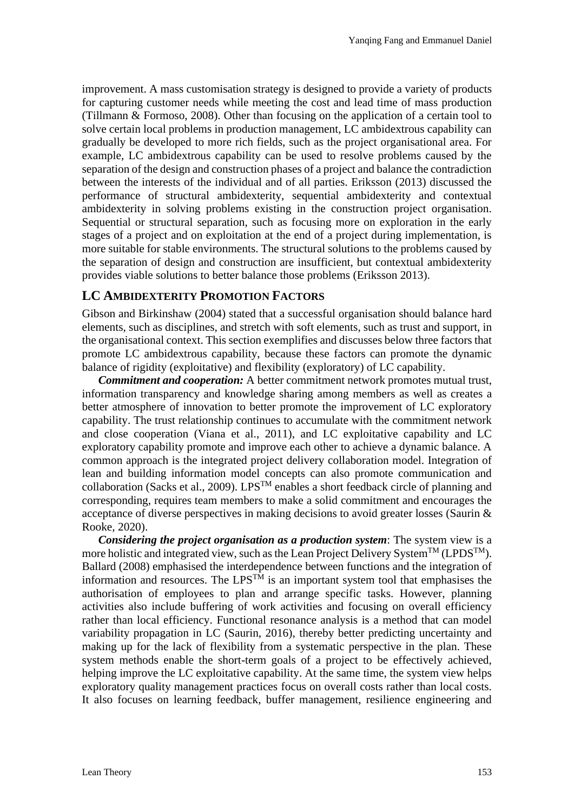improvement. A mass customisation strategy is designed to provide a variety of products for capturing customer needs while meeting the cost and lead time of mass production (Tillmann & Formoso, 2008). Other than focusing on the application of a certain tool to solve certain local problems in production management, LC ambidextrous capability can gradually be developed to more rich fields, such as the project organisational area. For example, LC ambidextrous capability can be used to resolve problems caused by the separation of the design and construction phases of a project and balance the contradiction between the interests of the individual and of all parties. Eriksson (2013) discussed the performance of structural ambidexterity, sequential ambidexterity and contextual ambidexterity in solving problems existing in the construction project organisation. Sequential or structural separation, such as focusing more on exploration in the early stages of a project and on exploitation at the end of a project during implementation, is more suitable for stable environments. The structural solutions to the problems caused by the separation of design and construction are insufficient, but contextual ambidexterity provides viable solutions to better balance those problems (Eriksson 2013).

#### **LC AMBIDEXTERITY PROMOTION FACTORS**

Gibson and Birkinshaw (2004) stated that a successful organisation should balance hard elements, such as disciplines, and stretch with soft elements, such as trust and support, in the organisational context. This section exemplifies and discusses below three factors that promote LC ambidextrous capability, because these factors can promote the dynamic balance of rigidity (exploitative) and flexibility (exploratory) of LC capability.

*Commitment and cooperation:* A better commitment network promotes mutual trust, information transparency and knowledge sharing among members as well as creates a better atmosphere of innovation to better promote the improvement of LC exploratory capability. The trust relationship continues to accumulate with the commitment network and close cooperation (Viana et al., 2011), and LC exploitative capability and LC exploratory capability promote and improve each other to achieve a dynamic balance. A common approach is the integrated project delivery collaboration model. Integration of lean and building information model concepts can also promote communication and collaboration (Sacks et al., 2009). LPS<sup>TM</sup> enables a short feedback circle of planning and corresponding, requires team members to make a solid commitment and encourages the acceptance of diverse perspectives in making decisions to avoid greater losses (Saurin & Rooke, 2020).

*Considering the project organisation as a production system*: The system view is a more holistic and integrated view, such as the Lean Project Delivery System<sup>TM</sup> (LPDS<sup>TM</sup>). Ballard (2008) emphasised the interdependence between functions and the integration of information and resources. The LPS<sup>TM</sup> is an important system tool that emphasises the authorisation of employees to plan and arrange specific tasks. However, planning activities also include buffering of work activities and focusing on overall efficiency rather than local efficiency. Functional resonance analysis is a method that can model variability propagation in LC (Saurin, 2016), thereby better predicting uncertainty and making up for the lack of flexibility from a systematic perspective in the plan. These system methods enable the short-term goals of a project to be effectively achieved, helping improve the LC exploitative capability. At the same time, the system view helps exploratory quality management practices focus on overall costs rather than local costs. It also focuses on learning feedback, buffer management, resilience engineering and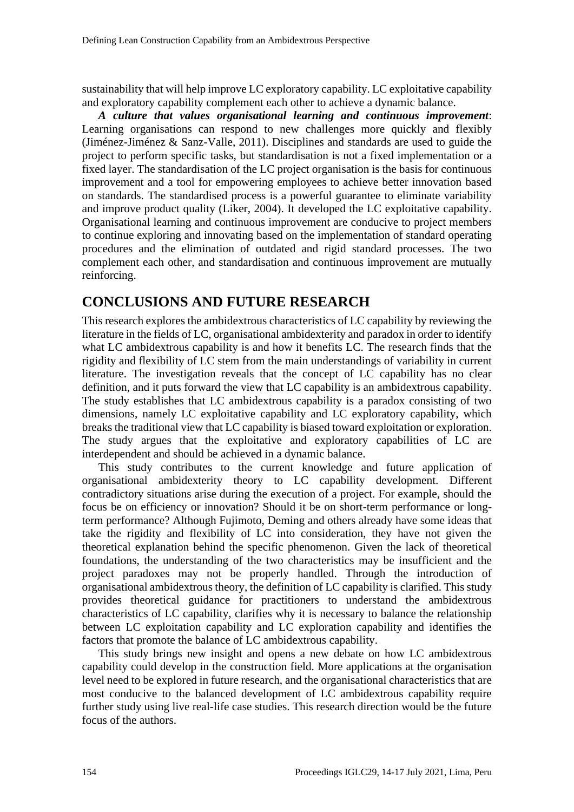sustainability that will help improve LC exploratory capability. LC exploitative capability and exploratory capability complement each other to achieve a dynamic balance.

*A culture that values organisational learning and continuous improvement*: Learning organisations can respond to new challenges more quickly and flexibly (Jiménez-Jiménez & Sanz-Valle, 2011). Disciplines and standards are used to guide the project to perform specific tasks, but standardisation is not a fixed implementation or a fixed layer. The standardisation of the LC project organisation is the basis for continuous improvement and a tool for empowering employees to achieve better innovation based on standards. The standardised process is a powerful guarantee to eliminate variability and improve product quality (Liker, 2004). It developed the LC exploitative capability. Organisational learning and continuous improvement are conducive to project members to continue exploring and innovating based on the implementation of standard operating procedures and the elimination of outdated and rigid standard processes. The two complement each other, and standardisation and continuous improvement are mutually reinforcing.

# **CONCLUSIONS AND FUTURE RESEARCH**

This research explores the ambidextrous characteristics of LC capability by reviewing the literature in the fields of LC, organisational ambidexterity and paradox in order to identify what LC ambidextrous capability is and how it benefits LC. The research finds that the rigidity and flexibility of LC stem from the main understandings of variability in current literature. The investigation reveals that the concept of LC capability has no clear definition, and it puts forward the view that LC capability is an ambidextrous capability. The study establishes that LC ambidextrous capability is a paradox consisting of two dimensions, namely LC exploitative capability and LC exploratory capability, which breaks the traditional view that LC capability is biased toward exploitation or exploration. The study argues that the exploitative and exploratory capabilities of LC are interdependent and should be achieved in a dynamic balance.

This study contributes to the current knowledge and future application of organisational ambidexterity theory to LC capability development. Different contradictory situations arise during the execution of a project. For example, should the focus be on efficiency or innovation? Should it be on short-term performance or longterm performance? Although Fujimoto, Deming and others already have some ideas that take the rigidity and flexibility of LC into consideration, they have not given the theoretical explanation behind the specific phenomenon. Given the lack of theoretical foundations, the understanding of the two characteristics may be insufficient and the project paradoxes may not be properly handled. Through the introduction of organisational ambidextrous theory, the definition of LC capability is clarified. This study provides theoretical guidance for practitioners to understand the ambidextrous characteristics of LC capability, clarifies why it is necessary to balance the relationship between LC exploitation capability and LC exploration capability and identifies the factors that promote the balance of LC ambidextrous capability.

This study brings new insight and opens a new debate on how LC ambidextrous capability could develop in the construction field. More applications at the organisation level need to be explored in future research, and the organisational characteristics that are most conducive to the balanced development of LC ambidextrous capability require further study using live real-life case studies. This research direction would be the future focus of the authors.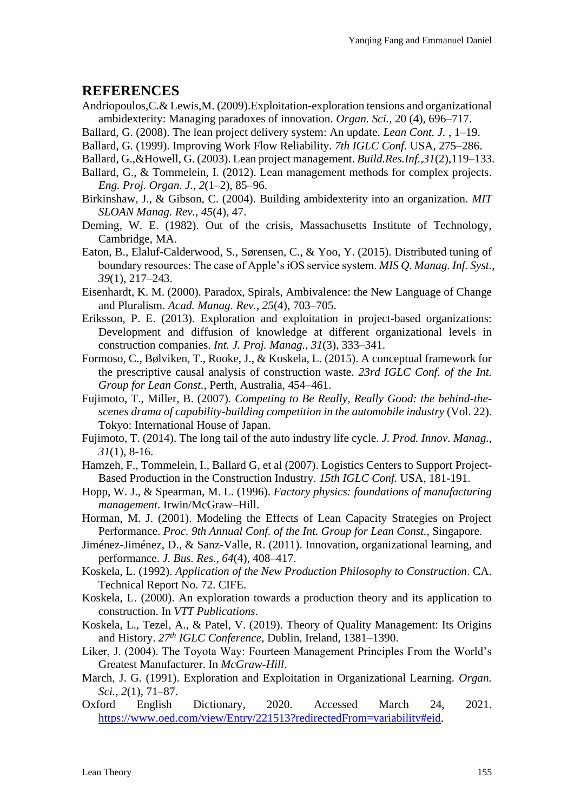### **REFERENCES**

- Andriopoulos,C.& Lewis,M. (2009).Exploitation-exploration tensions and organizational ambidexterity: Managing paradoxes of innovation. *Organ. Sci.*, 20 (4), 696–717.
- Ballard, G. (2008). The lean project delivery system: An update. *Lean Cont. J.* , 1–19.
- Ballard, G. (1999). Improving Work Flow Reliability. *7th IGLC Conf.* USA, 275–286.
- Ballard, G.,&Howell, G. (2003). Lean project management. *Build.Res.Inf.*,*31*(2),119–133.
- Ballard, G., & Tommelein, I. (2012). Lean management methods for complex projects. *Eng. Proj. Organ. J.*, *2*(1–2), 85–96.
- Birkinshaw, J., & Gibson, C. (2004). Building ambidexterity into an organization. *MIT SLOAN Manag. Rev.*, *45*(4), 47.
- Deming, W. E. (1982). Out of the crisis, Massachusetts Institute of Technology, Cambridge, MA.
- Eaton, B., Elaluf-Calderwood, S., Sørensen, C., & Yoo, Y. (2015). Distributed tuning of boundary resources: The case of Apple's iOS service system. *MIS Q. Manag. Inf. Syst.*, *39*(1), 217–243.
- Eisenhardt, K. M. (2000). Paradox, Spirals, Ambivalence: the New Language of Change and Pluralism. *Acad. Manag. Rev.*, *25*(4), 703–705.
- Eriksson, P. E. (2013). Exploration and exploitation in project-based organizations: Development and diffusion of knowledge at different organizational levels in construction companies. *Int. J. Proj. Manag.*, *31*(3), 333–341.
- Formoso, C., Bølviken, T., Rooke, J., & Koskela, L. (2015). A conceptual framework for the prescriptive causal analysis of construction waste. *23rd IGLC Conf. of the Int. Group for Lean Const.*, Perth, Australia, 454–461.
- Fujimoto, T., Miller, B. (2007). *Competing to Be Really, Really Good: the behind-thescenes drama of capability-building competition in the automobile industry* (Vol. 22). Tokyo: International House of Japan.
- Fujimoto, T. (2014). The long tail of the auto industry life cycle. *J. Prod. Innov. Manag.*, *31*(1), 8-16.
- Hamzeh, F., Tommelein, I., Ballard G, et al (2007). Logistics Centers to Support Project-Based Production in the Construction Industry. *15th IGLC Conf.* USA, 181-191.
- Hopp, W. J., & Spearman, M. L. (1996). *Factory physics: foundations of manufacturing management*. Irwin/McGraw–Hill.
- Horman, M. J. (2001). Modeling the Effects of Lean Capacity Strategies on Project Performance. *Proc. 9th Annual Conf. of the Int. Group for Lean Const.,* Singapore.
- Jiménez-Jiménez, D., & Sanz-Valle, R. (2011). Innovation, organizational learning, and performance. *J. Bus. Res.*, *64*(4), 408–417.
- Koskela, L. (1992). *Application of the New Production Philosophy to Construction*. CA. Technical Report No. 72. CIFE.
- Koskela, L. (2000). An exploration towards a production theory and its application to construction. In *VTT Publications*.
- Koskela, L., Tezel, A., & Patel, V. (2019). Theory of Quality Management: Its Origins and History. *27th IGLC Conference*, Dublin, Ireland, 1381–1390.
- Liker, J. (2004). The Toyota Way: Fourteen Management Principles From the World's Greatest Manufacturer. In *McGraw-Hill*.
- March, J. G. (1991). Exploration and Exploitation in Organizational Learning. *Organ. Sci.*, *2*(1), 71–87.
- Oxford English Dictionary, 2020. Accessed March 24, 2021. [https://www.oed.com/view/Entry/221513?redirectedFrom=variability#eid.](https://www.oed.com/view/Entry/221513?redirectedFrom=variability#eid)